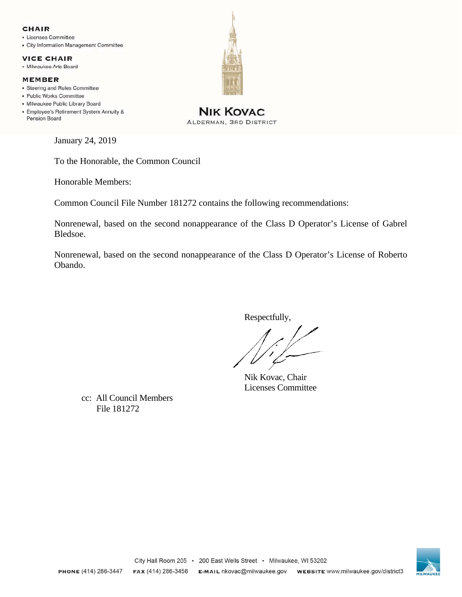### **CHAIR**

- Licenses Committee
- City Information Management Committee

### **VICE CHAIR**

· Milwaukee Arts Board

#### **MEMBER**

- Steering and Rules Committee
- Public Works Committee
- · Milwaukee Public Library Board
- Employee's Retirement System Annuity & Pension Board

January 24, 2019

To the Honorable, the Common Council

Honorable Members:

Common Council File Number 181272 contains the following recommendations:

Nonrenewal, based on the second nonappearance of the Class D Operator's License of Gabrel Bledsoe.

Nonrenewal, based on the second nonappearance of the Class D Operator's License of Roberto Obando.

Respectfully,

 Nik Kovac, Chair Licenses Committee

cc: All Council Members File 181272





**NIK KOVAC** 

ALDERMAN, 3RD DISTRICT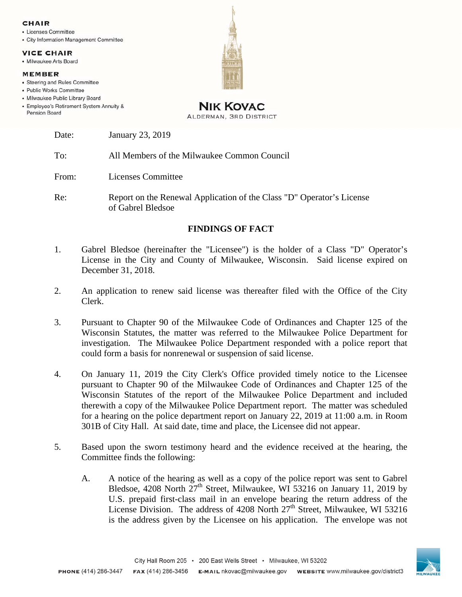#### CHAIR

- · Licenses Committee
- City Information Management Committee

### **VICE CHAIR**

• Milwaukee Arts Board

#### **MEMBER**

- · Steering and Rules Committee
- · Public Works Committee
- · Milwaukee Public Library Board
- Employee's Retirement System Annuity & **Pension Board**



## **NIK KOVAC** ALDERMAN, 3RD DISTRICT

| Date: | January 23, 2019 |
|-------|------------------|
|       |                  |

To: All Members of the Milwaukee Common Council

From: Licenses Committee

Re: Report on the Renewal Application of the Class "D" Operator's License of Gabrel Bledsoe

# **FINDINGS OF FACT**

- 1. Gabrel Bledsoe (hereinafter the "Licensee") is the holder of a Class "D" Operator's License in the City and County of Milwaukee, Wisconsin. Said license expired on December 31, 2018.
- 2. An application to renew said license was thereafter filed with the Office of the City Clerk.
- 3. Pursuant to Chapter 90 of the Milwaukee Code of Ordinances and Chapter 125 of the Wisconsin Statutes, the matter was referred to the Milwaukee Police Department for investigation. The Milwaukee Police Department responded with a police report that could form a basis for nonrenewal or suspension of said license.
- 4. On January 11, 2019 the City Clerk's Office provided timely notice to the Licensee pursuant to Chapter 90 of the Milwaukee Code of Ordinances and Chapter 125 of the Wisconsin Statutes of the report of the Milwaukee Police Department and included therewith a copy of the Milwaukee Police Department report. The matter was scheduled for a hearing on the police department report on January 22, 2019 at 11:00 a.m. in Room 301B of City Hall. At said date, time and place, the Licensee did not appear.
- 5. Based upon the sworn testimony heard and the evidence received at the hearing, the Committee finds the following:
	- A. A notice of the hearing as well as a copy of the police report was sent to Gabrel Bledsoe, 4208 North  $27<sup>th</sup>$  Street, Milwaukee, WI 53216 on January 11, 2019 by U.S. prepaid first-class mail in an envelope bearing the return address of the License Division. The address of 4208 North  $27<sup>th</sup>$  Street, Milwaukee, WI 53216 is the address given by the Licensee on his application. The envelope was not

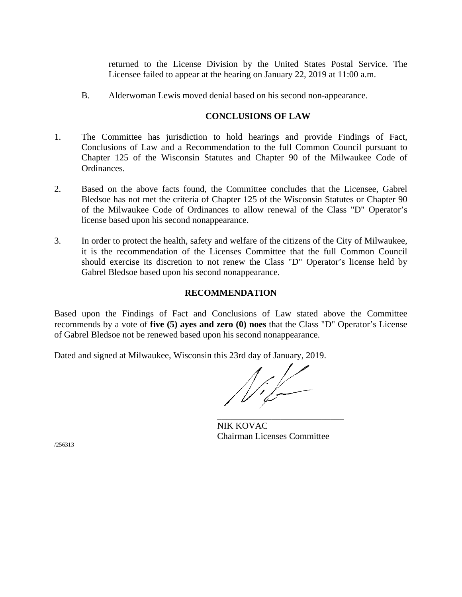returned to the License Division by the United States Postal Service. The Licensee failed to appear at the hearing on January 22, 2019 at 11:00 a.m.

B. Alderwoman Lewis moved denial based on his second non-appearance.

# **CONCLUSIONS OF LAW**

- 1. The Committee has jurisdiction to hold hearings and provide Findings of Fact, Conclusions of Law and a Recommendation to the full Common Council pursuant to Chapter 125 of the Wisconsin Statutes and Chapter 90 of the Milwaukee Code of Ordinances.
- 2. Based on the above facts found, the Committee concludes that the Licensee, Gabrel Bledsoe has not met the criteria of Chapter 125 of the Wisconsin Statutes or Chapter 90 of the Milwaukee Code of Ordinances to allow renewal of the Class "D" Operator's license based upon his second nonappearance.
- 3. In order to protect the health, safety and welfare of the citizens of the City of Milwaukee, it is the recommendation of the Licenses Committee that the full Common Council should exercise its discretion to not renew the Class "D" Operator's license held by Gabrel Bledsoe based upon his second nonappearance.

# **RECOMMENDATION**

Based upon the Findings of Fact and Conclusions of Law stated above the Committee recommends by a vote of **five (5) ayes and zero (0) noes** that the Class "D" Operator's License of Gabrel Bledsoe not be renewed based upon his second nonappearance.

Dated and signed at Milwaukee, Wisconsin this 23rd day of January, 2019.

 $\overline{\phantom{a}}$  , and the contract of the contract of the contract of the contract of the contract of the contract of the contract of the contract of the contract of the contract of the contract of the contract of the contrac

NIK KOVAC Chairman Licenses Committee

/256313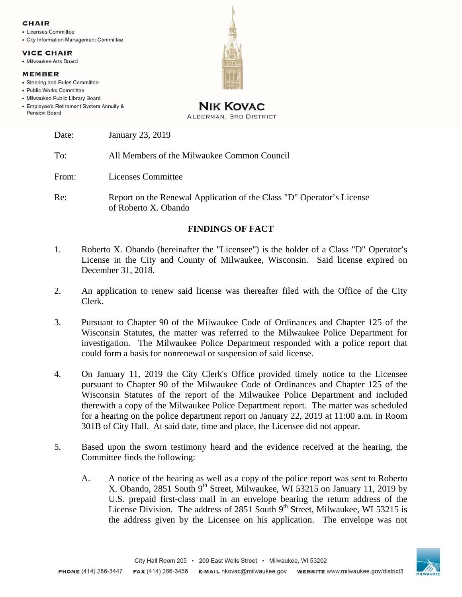#### CHAIR

- · Licenses Committee
- City Information Management Committee

#### **VICE CHAIR**

• Milwaukee Arts Board

#### **MEMBER**

- · Steering and Rules Committee
- · Public Works Committee
- · Milwaukee Public Library Board
- Employee's Retirement System Annuity & **Pension Board**



## **NIK KOVAC** ALDERMAN, 3RD DISTRICT

| Date: | January 23, 2019 |  |
|-------|------------------|--|
|       |                  |  |

To: All Members of the Milwaukee Common Council

From: Licenses Committee

Re: Report on the Renewal Application of the Class "D" Operator's License of Roberto X. Obando

# **FINDINGS OF FACT**

- 1. Roberto X. Obando (hereinafter the "Licensee") is the holder of a Class "D" Operator's License in the City and County of Milwaukee, Wisconsin. Said license expired on December 31, 2018.
- 2. An application to renew said license was thereafter filed with the Office of the City Clerk.
- 3. Pursuant to Chapter 90 of the Milwaukee Code of Ordinances and Chapter 125 of the Wisconsin Statutes, the matter was referred to the Milwaukee Police Department for investigation. The Milwaukee Police Department responded with a police report that could form a basis for nonrenewal or suspension of said license.
- 4. On January 11, 2019 the City Clerk's Office provided timely notice to the Licensee pursuant to Chapter 90 of the Milwaukee Code of Ordinances and Chapter 125 of the Wisconsin Statutes of the report of the Milwaukee Police Department and included therewith a copy of the Milwaukee Police Department report. The matter was scheduled for a hearing on the police department report on January 22, 2019 at 11:00 a.m. in Room 301B of City Hall. At said date, time and place, the Licensee did not appear.
- 5. Based upon the sworn testimony heard and the evidence received at the hearing, the Committee finds the following:
	- A. A notice of the hearing as well as a copy of the police report was sent to Roberto X. Obando, 2851 South  $9<sup>th</sup>$  Street, Milwaukee, WI 53215 on January 11, 2019 by U.S. prepaid first-class mail in an envelope bearing the return address of the License Division. The address of 2851 South  $9<sup>th</sup>$  Street, Milwaukee, WI 53215 is the address given by the Licensee on his application. The envelope was not